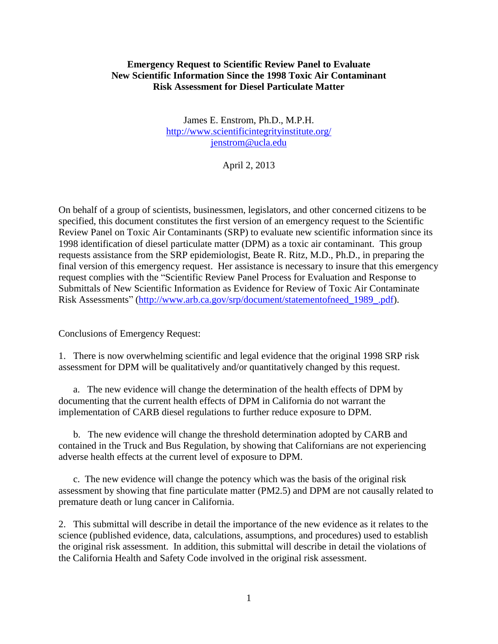### **Emergency Request to Scientific Review Panel to Evaluate New Scientific Information Since the 1998 Toxic Air Contaminant Risk Assessment for Diesel Particulate Matter**

James E. Enstrom, Ph.D., M.P.H. <http://www.scientificintegrityinstitute.org/> [jenstrom@ucla.edu](mailto:jenstrom@ucla.edu)

April 2, 2013

On behalf of a group of scientists, businessmen, legislators, and other concerned citizens to be specified, this document constitutes the first version of an emergency request to the Scientific Review Panel on Toxic Air Contaminants (SRP) to evaluate new scientific information since its 1998 identification of diesel particulate matter (DPM) as a toxic air contaminant. This group requests assistance from the SRP epidemiologist, Beate R. Ritz, M.D., Ph.D., in preparing the final version of this emergency request. Her assistance is necessary to insure that this emergency request complies with the "Scientific Review Panel Process for Evaluation and Response to Submittals of New Scientific Information as Evidence for Review of Toxic Air Contaminate Risk Assessments" (http://www.arb.ca.gov/srp/document/statementofneed 1989.pdf).

Conclusions of Emergency Request:

1. There is now overwhelming scientific and legal evidence that the original 1998 SRP risk assessment for DPM will be qualitatively and/or quantitatively changed by this request.

 a. The new evidence will change the determination of the health effects of DPM by documenting that the current health effects of DPM in California do not warrant the implementation of CARB diesel regulations to further reduce exposure to DPM.

 b. The new evidence will change the threshold determination adopted by CARB and contained in the Truck and Bus Regulation, by showing that Californians are not experiencing adverse health effects at the current level of exposure to DPM.

 c. The new evidence will change the potency which was the basis of the original risk assessment by showing that fine particulate matter (PM2.5) and DPM are not causally related to premature death or lung cancer in California.

2. This submittal will describe in detail the importance of the new evidence as it relates to the science (published evidence, data, calculations, assumptions, and procedures) used to establish the original risk assessment. In addition, this submittal will describe in detail the violations of the California Health and Safety Code involved in the original risk assessment.